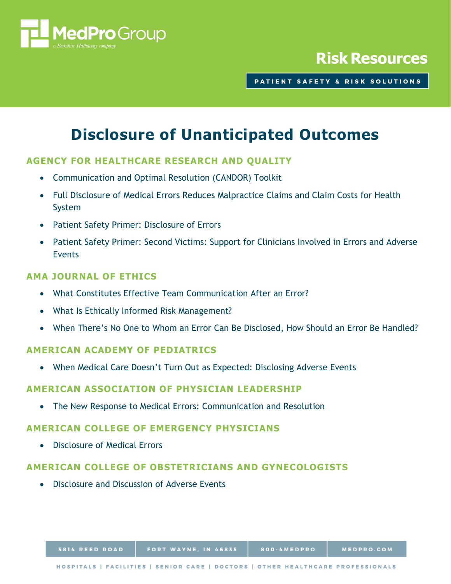

# **Risk Resources**

PATIENT SAFETY & RISK SOLUTIONS

# **Disclosure of Unanticipated Outcomes**

# **AGENCY FOR HEALTHCARE RESEARCH AND QUALITY**

- [Communication and Optimal Resolution \(CANDOR\) Toolkit](https://www.ahrq.gov/professionals/quality-patient-safety/patient-safety-resources/resources/candor/introduction.html)
- [Full Disclosure of Medical Errors Reduces Malpractice Claims and Claim Costs for Health](https://innovations.ahrq.gov/profiles/full-disclosure-medical-errors-reduces-malpractice-claims-and-claim-costs-health-system)  [System](https://innovations.ahrq.gov/profiles/full-disclosure-medical-errors-reduces-malpractice-claims-and-claim-costs-health-system)
- [Patient Safety Primer: Disclosure of Errors](https://psnet.ahrq.gov/primers/primer/2)
- [Patient Safety Primer: Second Victims: Support for Clinicians Involved in Errors and Adverse](https://psnet.ahrq.gov/primers/primer/30)  [Events](https://psnet.ahrq.gov/primers/primer/30)

# **AMA JOURNAL OF ETHICS**

- [What Constitutes Effective Team Communication After an Error?](https://journalofethics.ama-assn.org/article/what-constitutes-effective-team-communication-after-error/2020-04)
- [What Is Ethically Informed Risk Management?](https://journalofethics.ama-assn.org/article/what-ethically-informed-risk-management/2020-11)
- [When There's No One to Whom an Error Can Be Disclosed, How Should an Error Be Handled?](https://journalofethics.ama-assn.org/article/when-theres-no-one-whom-error-can-be-disclosed-how-should-error-be-handled/2019-07)

#### **AMERICAN ACADEMY OF PEDIATRICS**

• [When Medical Care Doesn't Turn Out as Expected: Disclosing Adverse Events](https://www.aappublications.org/news/2016/11/21/AdverseEvents112116)

#### **AMERICAN ASSOCIATION OF PHYSICIAN LEADERSHIP**

• [The New Response to Medical Errors: Communication and Resolution](https://www.physicianleaders.org/news/the-new-response-to-medical-errors-communication-and-resolution)

#### **AMERICAN COLLEGE OF EMERGENCY PHYSICIANS**

• [Disclosure of Medical Errors](https://www.acep.org/patient-care/policy-statements/disclosure-of-medical-errors/)

## **AMERICAN COLLEGE OF OBSTETRICIANS AND GYNECOLOGISTS**

• [Disclosure and Discussion of Adverse Events](https://www.acog.org/Clinical-Guidance-and-Publications/Committee-Opinions/Committee-on-Patient-Safety-and-Quality-Improvement/Disclosure-and-Discussion-of-Adverse-Events?IsMobileSet=false)

800-4MEDPRO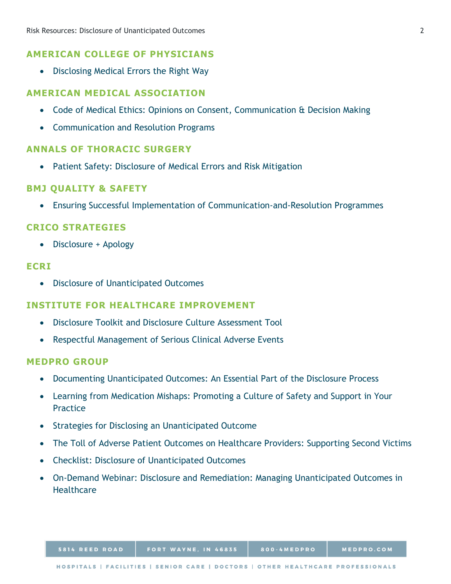## **AMERICAN COLLEGE OF PHYSICIANS**

• [Disclosing Medical Errors the Right Way](http://www.acpinternist.org/archives/2014/06/errors.htm)

#### **AMERICAN MEDICAL ASSOCIATION**

- [Code of Medical Ethics: Opinions on Consent, Communication & Decision Making](https://www.ama-assn.org/delivering-care/ethics/code-medical-ethics-consent-communication-decision-making)
- [Communication and Resolution Programs](https://www.ama-assn.org/system/files/2019-01/ama-issue-brief-communication-and-resolution-programs.pdf.pdf)

#### **ANNALS OF THORACIC SURGERY**

• [Patient Safety: Disclosure of Medical Errors and Risk Mitigation](https://www.sts.org/sites/default/files/documents/patient_safety/DisclosureofMedicalErrors.pdf)

#### **BMJ QUALITY & SAFETY**

• [Ensuring Successful Implementation of Communication-and-Resolution Programmes](https://qualitysafety.bmj.com/content/29/11/895)

#### **CRICO STRATEGIES**

• [Disclosure + Apology](https://www.rmf.harvard.edu/Clinician-Resources/Topic-Tag/Disclosure-Apology)

#### **ECRI**

• [Disclosure of Unanticipated Outcomes](https://learning.ecri.org/sites/default/files/Disclosure%20of%20Unanticipated%20Outcomes%202018.pdf)

#### **INSTITUTE FOR HEALTHCARE IMPROVEMENT**

- [Disclosure Toolkit and Disclosure Culture Assessment Tool](http://www.ihi.org/resources/Pages/Tools/DisclosureToolkitandDisclosureCultureAssessmentTool.aspx)
- [Respectful Management of Serious Clinical Adverse Events](http://www.ihi.org/resources/Pages/IHIWhitePapers/RespectfulManagementSeriousClinicalAEsWhitePaper.aspx)

#### **MEDPRO GROUP**

5814 REED ROAD

- [Documenting Unanticipated Outcomes: An Essential Part of the Disclosure Process](https://www.medpro.com/disclosure-documentation)
- [Learning from Medication Mishaps: Promoting a Culture of Safety and Support in Your](https://www.medpro.com/documents/10502/2820774/Article_Learning+From+Medication+Mishaps.pdf)  [Practice](https://www.medpro.com/documents/10502/2820774/Article_Learning+From+Medication+Mishaps.pdf)
- [Strategies for Disclosing an Unanticipated Outcome](https://www.medpro.com/disclosing-unanticipated-outcome)
- [The Toll of Adverse Patient Outcomes on Healthcare Providers: Supporting Second Victims](https://www.medpro.com/supporting-second-victims-adverse-outcomes)
- [Checklist: Disclosure of Unanticipated Outcomes](https://www.medpro.com/documents/10502/2899801/Checklist_Disclosure+of+Unanticipated+Outcomes.pdf)
- [On-Demand Webinar: Disclosure and Remediation: Managing Unanticipated Outcomes in](https://www.medpro.com/disclosure-od)  **[Healthcare](https://www.medpro.com/disclosure-od)**

FORT WAYNE, IN 46835

800-4MEDPRO

MEDPRO.COM